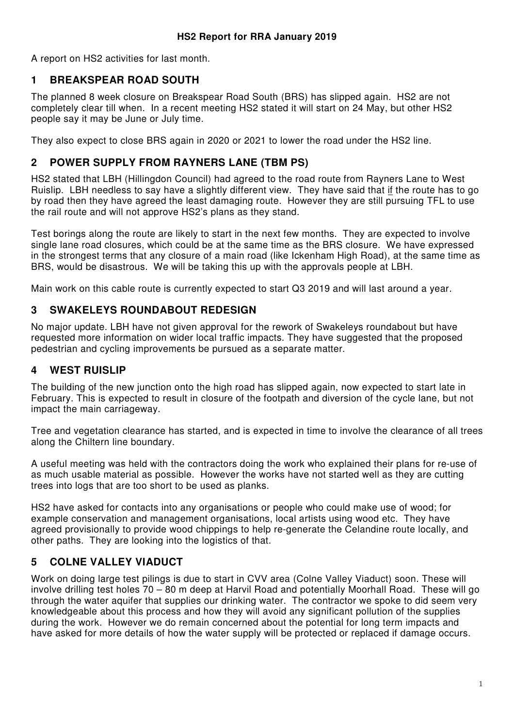A report on HS2 activities for last month.

### **1 BREAKSPEAR ROAD SOUTH**

The planned 8 week closure on Breakspear Road South (BRS) has slipped again. HS2 are not completely clear till when. In a recent meeting HS2 stated it will start on 24 May, but other HS2 people say it may be June or July time.

They also expect to close BRS again in 2020 or 2021 to lower the road under the HS2 line.

### **2 POWER SUPPLY FROM RAYNERS LANE (TBM PS)**

HS2 stated that LBH (Hillingdon Council) had agreed to the road route from Rayners Lane to West Ruislip. LBH needless to say have a slightly different view. They have said that if the route has to go by road then they have agreed the least damaging route. However they are still pursuing TFL to use the rail route and will not approve HS2's plans as they stand.

Test borings along the route are likely to start in the next few months. They are expected to involve single lane road closures, which could be at the same time as the BRS closure. We have expressed in the strongest terms that any closure of a main road (like Ickenham High Road), at the same time as BRS, would be disastrous. We will be taking this up with the approvals people at LBH.

Main work on this cable route is currently expected to start Q3 2019 and will last around a year.

### **3 SWAKELEYS ROUNDABOUT REDESIGN**

No major update. LBH have not given approval for the rework of Swakeleys roundabout but have requested more information on wider local traffic impacts. They have suggested that the proposed pedestrian and cycling improvements be pursued as a separate matter.

# **4 WEST RUISLIP**

The building of the new junction onto the high road has slipped again, now expected to start late in February. This is expected to result in closure of the footpath and diversion of the cycle lane, but not impact the main carriageway.

Tree and vegetation clearance has started, and is expected in time to involve the clearance of all trees along the Chiltern line boundary.

A useful meeting was held with the contractors doing the work who explained their plans for re-use of as much usable material as possible. However the works have not started well as they are cutting trees into logs that are too short to be used as planks.

HS2 have asked for contacts into any organisations or people who could make use of wood; for example conservation and management organisations, local artists using wood etc. They have agreed provisionally to provide wood chippings to help re-generate the Celandine route locally, and other paths. They are looking into the logistics of that.

# **5 COLNE VALLEY VIADUCT**

Work on doing large test pilings is due to start in CVV area (Colne Valley Viaduct) soon. These will involve drilling test holes 70 – 80 m deep at Harvil Road and potentially Moorhall Road. These will go through the water aquifer that supplies our drinking water. The contractor we spoke to did seem very knowledgeable about this process and how they will avoid any significant pollution of the supplies during the work. However we do remain concerned about the potential for long term impacts and have asked for more details of how the water supply will be protected or replaced if damage occurs.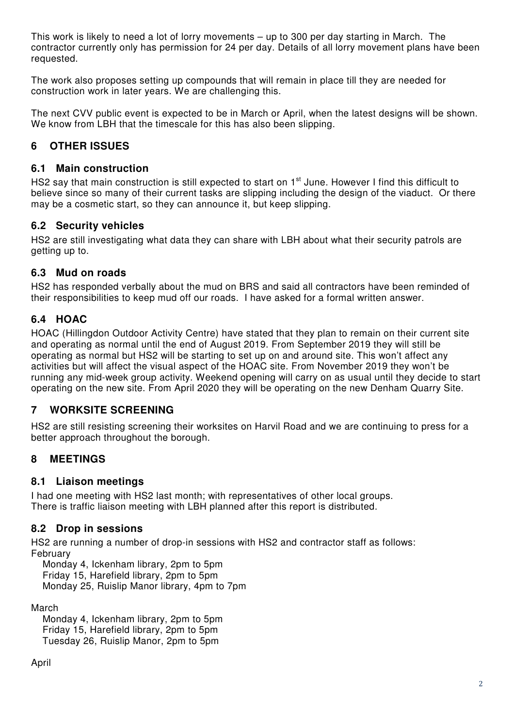This work is likely to need a lot of lorry movements – up to 300 per day starting in March. The contractor currently only has permission for 24 per day. Details of all lorry movement plans have been requested.

The work also proposes setting up compounds that will remain in place till they are needed for construction work in later years. We are challenging this.

The next CVV public event is expected to be in March or April, when the latest designs will be shown. We know from LBH that the timescale for this has also been slipping.

# **6 OTHER ISSUES**

### **6.1 Main construction**

HS2 say that main construction is still expected to start on 1<sup>st</sup> June. However I find this difficult to believe since so many of their current tasks are slipping including the design of the viaduct. Or there may be a cosmetic start, so they can announce it, but keep slipping.

# **6.2 Security vehicles**

HS2 are still investigating what data they can share with LBH about what their security patrols are getting up to.

#### **6.3 Mud on roads**

HS2 has responded verbally about the mud on BRS and said all contractors have been reminded of their responsibilities to keep mud off our roads. I have asked for a formal written answer.

# **6.4 HOAC**

HOAC (Hillingdon Outdoor Activity Centre) have stated that they plan to remain on their current site and operating as normal until the end of August 2019. From September 2019 they will still be operating as normal but HS2 will be starting to set up on and around site. This won't affect any activities but will affect the visual aspect of the HOAC site. From November 2019 they won't be running any mid-week group activity. Weekend opening will carry on as usual until they decide to start operating on the new site. From April 2020 they will be operating on the new Denham Quarry Site.

# **7 WORKSITE SCREENING**

HS2 are still resisting screening their worksites on Harvil Road and we are continuing to press for a better approach throughout the borough.

# **8 MEETINGS**

# **8.1 Liaison meetings**

I had one meeting with HS2 last month; with representatives of other local groups. There is traffic liaison meeting with LBH planned after this report is distributed.

# **8.2 Drop in sessions**

HS2 are running a number of drop-in sessions with HS2 and contractor staff as follows: February

 Monday 4, Ickenham library, 2pm to 5pm Friday 15, Harefield library, 2pm to 5pm Monday 25, Ruislip Manor library, 4pm to 7pm

March

 Monday 4, Ickenham library, 2pm to 5pm Friday 15, Harefield library, 2pm to 5pm Tuesday 26, Ruislip Manor, 2pm to 5pm

April